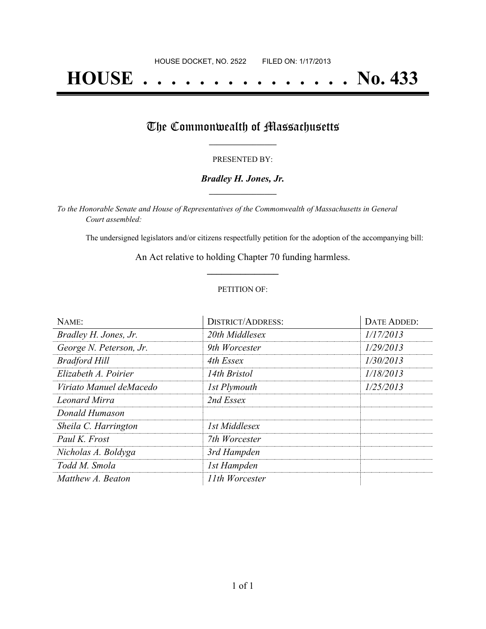# **HOUSE . . . . . . . . . . . . . . . No. 433**

## The Commonwealth of Massachusetts

#### PRESENTED BY:

#### *Bradley H. Jones, Jr.* **\_\_\_\_\_\_\_\_\_\_\_\_\_\_\_\_\_**

*To the Honorable Senate and House of Representatives of the Commonwealth of Massachusetts in General Court assembled:*

The undersigned legislators and/or citizens respectfully petition for the adoption of the accompanying bill:

An Act relative to holding Chapter 70 funding harmless. **\_\_\_\_\_\_\_\_\_\_\_\_\_\_\_**

#### PETITION OF:

| NAME:                   | <b>DISTRICT/ADDRESS:</b> | DATE ADDED: |
|-------------------------|--------------------------|-------------|
| Bradley H. Jones, Jr.   | 20th Middlesex           | 1/17/2013   |
| George N. Peterson, Jr. | 9th Worcester            | 1/29/2013   |
| <b>Bradford Hill</b>    | 4th Essex                | 1/30/2013   |
| Elizabeth A. Poirier    | 14th Bristol             | 1/18/2013   |
| Viriato Manuel deMacedo | 1st Plymouth             | 1/25/2013   |
| Leonard Mirra           | 2nd Essex                |             |
| Donald Humason          |                          |             |
| Sheila C. Harrington    | 1st Middlesex            |             |
| Paul K. Frost           | 7th Worcester            |             |
| Nicholas A. Boldyga     | 3rd Hampden              |             |
| Todd M. Smola           | 1st Hampden              |             |
| Matthew A. Beaton       | 11th Worcester           |             |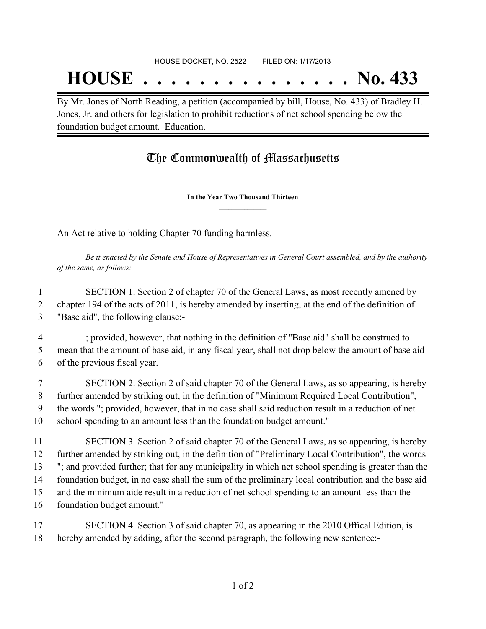## **HOUSE . . . . . . . . . . . . . . . No. 433**

By Mr. Jones of North Reading, a petition (accompanied by bill, House, No. 433) of Bradley H. Jones, Jr. and others for legislation to prohibit reductions of net school spending below the foundation budget amount. Education.

## The Commonwealth of Massachusetts

**\_\_\_\_\_\_\_\_\_\_\_\_\_\_\_ In the Year Two Thousand Thirteen \_\_\_\_\_\_\_\_\_\_\_\_\_\_\_**

An Act relative to holding Chapter 70 funding harmless.

Be it enacted by the Senate and House of Representatives in General Court assembled, and by the authority *of the same, as follows:*

 SECTION 1. Section 2 of chapter 70 of the General Laws, as most recently amened by chapter 194 of the acts of 2011, is hereby amended by inserting, at the end of the definition of "Base aid", the following clause:-

 ; provided, however, that nothing in the definition of "Base aid" shall be construed to mean that the amount of base aid, in any fiscal year, shall not drop below the amount of base aid of the previous fiscal year.

 SECTION 2. Section 2 of said chapter 70 of the General Laws, as so appearing, is hereby further amended by striking out, in the definition of "Minimum Required Local Contribution", the words "; provided, however, that in no case shall said reduction result in a reduction of net school spending to an amount less than the foundation budget amount."

 SECTION 3. Section 2 of said chapter 70 of the General Laws, as so appearing, is hereby further amended by striking out, in the definition of "Preliminary Local Contribution", the words "; and provided further; that for any municipality in which net school spending is greater than the foundation budget, in no case shall the sum of the preliminary local contribution and the base aid and the minimum aide result in a reduction of net school spending to an amount less than the foundation budget amount."

 SECTION 4. Section 3 of said chapter 70, as appearing in the 2010 Offical Edition, is hereby amended by adding, after the second paragraph, the following new sentence:-